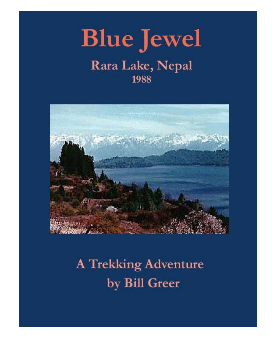



# **A Trekking Adventure** by Bill Greer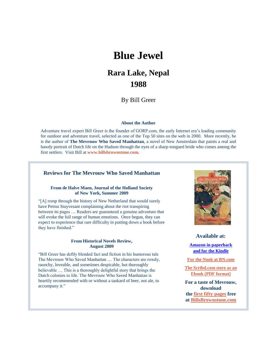## **Blue Jewel**

### **Rara Lake, Nepal 1988**

By Bill Greer

#### **About the Author**

Adventure travel expert Bill Greer is the founder of GORP.com, the early Internet era's leading community for outdoor and adventure travel, selected as one of the Top 50 sites on the web in 2000. More recently, he is the author of **The Mevrouw Who Saved Manhattan**, a novel of New Amsterdam that paints a real and bawdy portrait of Dutch life on the Hudson through the eyes of a sharp-tongued bride who comes among the first settlers. Visit Bill at **[www.billsbrownstone.com.](http://www.billsbrownstone.com/)**

#### **Reviews for The Mevrouw Who Saved Manhattan**

#### **From de Halve Maen, Journal of the Holland Society of New York, Summer 2009**

"[A] romp through the history of New Netherland that would surely have Petrus Stuyvesant complaining about the riot transpiring between its pages … Readers are guaranteed a genuine adventure that will evoke the full range of human emotions. Once begun, they can expect to experience that rare difficulty in putting down a book before they have finished."

#### **From Historical Novels Review, August 2009**

"Bill Greer has deftly blended fact and fiction in his humorous tale The Mevrouw Who Saved Manhattan … The characters are rowdy, raunchy, loveable, and sometimes despicable, but thoroughly believable … This is a thoroughly delightful story that brings the Dutch colonies to life. The Mevrouw Who Saved Manhattan is heartily recommended with or without a tankard of beer, not ale, to accompany it."



**Available at:**

**[Amazon in paperback](http://www.amazon.com/Mevrouw-Who-Saved-Manhattan-Amsterdam/dp/1439221782/ref=sr_1_1?ie=UTF8&s=books&qid=1233071214&sr=1-1) [and for the Kindle](http://www.amazon.com/The-Mevrouw-Saved-Manhattan-ebook/dp/B001U88HH4/ref=tmm_kin_title_0?ie=UTF8&m=AG56TWVU5XWC2&qid=1233071214&sr=1-1)**

**[For the Nook at BN.com](http://www.barnesandnoble.com/w/the-mevrouw-who-saved-manhattan-bill-greer/1017817072?ean=2940012572820&itm=2&usri=the%2bmevrouw%2bwho%2bsaved%2bmanhattan)**

**[The Scribd.com store as an](http://www.scribd.com/doc/16592556/The-Mevrouw-Who-Saved-Manhattan) [Ebook \(PDF format\)](http://www.scribd.com/doc/16592556/The-Mevrouw-Who-Saved-Manhattan)**

**For a taste of Mevrouw, download the [first fifty pages](http://www.billsbrownstone.com/mevrouw50pages.pdf) free at [BillsBrownstone.com](http://www.billsbrownstone.com/)**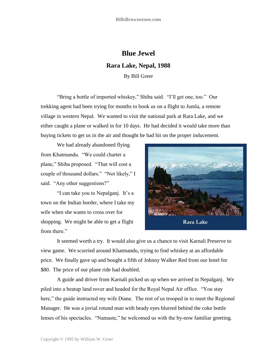### **Blue Jewel Rara Lake, Nepal, 1988** By Bill Greer

"Bring a bottle of imported whiskey," Shiba said. "I'll get one, too." Our trekking agent had been trying for months to book us on a flight to Jumla, a remote village in western Nepal. We wanted to visit the national park at Rara Lake, and we either caught a plane or walked in for 10 days. He had decided it would take more than buying tickets to get us in the air and thought he had hit on the proper inducement.

We had already abandoned flying from Khatmandu. "We could charter a plane," Shiba proposed. "That will cost a couple of thousand dollars." "Not likely," I said. "Any other suggestions?"

"I can take you to Nepalganj. It's a town on the Indian border, where I take my wife when she wants to cross over for shopping. We might be able to get a flight from there."



It seemed worth a try. It would also give us a chance to visit Karnali Preserve to view game. We scurried around Khatmandu, trying to find whiskey at an affordable price. We finally gave up and bought a fifth of Johnny Walker Red from our hotel for \$80. The price of our plane ride had doubled.

A guide and driver from Karnali picked us up when we arrived in Nepalganj. We piled into a beatup land rover and headed for the Royal Nepal Air office. "You stay here," the guide instructed my wife Diane. The rest of us trooped in to meet the Regional Manager. He was a jovial rotund man with beady eyes blurred behind the coke bottle lenses of his spectacles. "Namaste," he welcomed us with the by-now familiar greeting.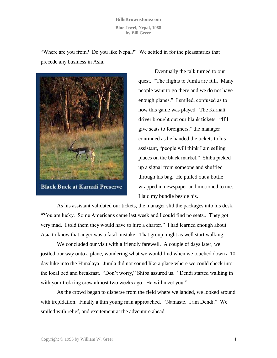**BillsBrownstone.com Blue Jewel, Nepal, 1988 by Bill Greer**

"Where are you from? Do you like Nepal?" We settled in for the pleasantries that precede any business in Asia.



**Black Buck at Karnali Preserve** 

Eventually the talk turned to our quest. "The flights to Jumla are full. Many people want to go there and we do not have enough planes." I smiled, confused as to how this game was played. The Karnali driver brought out our blank tickets. "If I give seats to foreigners," the manager continued as he handed the tickets to his assistant, "people will think I am selling places on the black market." Shiba picked up a signal from someone and shuffled through his bag. He pulled out a bottle wrapped in newspaper and motioned to me. I laid my bundle beside his.

As his assistant validated our tickets, the manager slid the packages into his desk. "You are lucky. Some Americans came last week and I could find no seats.. They got very mad. I told them they would have to hire a charter." I had learned enough about Asia to know that anger was a fatal mistake. That group might as well start walking.

We concluded our visit with a friendly farewell. A couple of days later, we jostled our way onto a plane, wondering what we would find when we touched down a 10 day hike into the Himalaya. Jumla did not sound like a place where we could check into the local bed and breakfast. "Don't worry," Shiba assured us. "Dendi started walking in with your trekking crew almost two weeks ago. He will meet you."

As the crowd began to disperse from the field where we landed, we looked around with trepidation. Finally a thin young man approached. "Namaste. I am Dendi." We smiled with relief, and excitement at the adventure ahead.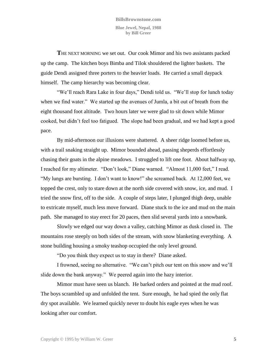**T**HE NEXT MORNING we set out. Our cook Mimor and his two assistants packed up the camp. The kitchen boys Bimba and Tilok shouldered the lighter baskets. The guide Dendi assigned three porters to the heavier loads. He carried a small daypack himself. The camp hierarchy was becoming clear.

"We'll reach Rara Lake in four days," Dendi told us. "We'll stop for lunch today when we find water." We started up the avenues of Jumla, a bit out of breath from the eight thousand foot altitude. Two hours later we were glad to sit down while Mimor cooked, but didn't feel too fatigued. The slope had been gradual, and we had kept a good pace.

By mid-afternoon our illusions were shattered. A sheer ridge loomed before us, with a trail snaking straight up. Mimor bounded ahead, passing sheperds effortlessly chasing their goats in the alpine meadows. I struggled to lift one foot. About halfway up, I reached for my altimeter. "Don't look," Diane warned. "Almost 11,000 feet," I read. "My lungs are bursting. I don't want to know!" she screamed back. At 12,000 feet, we topped the crest, only to stare down at the north side covered with snow, ice, and mud. I tried the snow first, off to the side. A couple of steps later, I plunged thigh deep, unable to extricate myself, much less move forward. Diane stuck to the ice and mud on the main path. She managed to stay erect for 20 paces, then slid several yards into a snowbank.

Slowly we edged our way down a valley, catching Mimor as dusk closed in. The mountains rose steeply on both sides of the stream, with snow blanketing everything. A stone building housing a smoky teashop occupied the only level ground.

"Do you think they expect us to stay in there? Diane asked.

I frowned, seeing no alternative. "We can't pitch our tent on this snow and we'll slide down the bank anyway." We peered again into the hazy interior.

Mimor must have seen us blanch. He barked orders and pointed at the mud roof. The boys scrambled up and unfolded the tent. Sure enough, he had spied the only flat dry spot available. We learned quickly never to doubt his eagle eyes when he was looking after our comfort.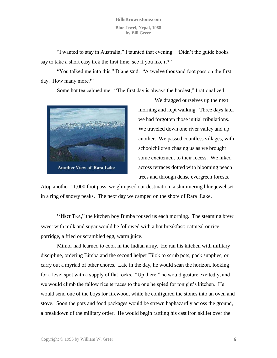"I wanted to stay in Australia," I taunted that evening. "Didn't the guide books say to take a short easy trek the first time, see if you like it?"

"You talked me into this," Diane said. "A twelve thousand foot pass on the first day. How many more?"

Some hot tea calmed me. "The first day is always the hardest," I rationalized.



We dragged ourselves up the next morning and kept walking. Three days later we had forgotten those initial tribulations. We traveled down one river valley and up another. We passed countless villages, with schoolchildren chasing us as we brought some excitement to their recess. We hiked across terraces dotted with blooming peach trees and through dense evergreen forests.

Atop another 11,000 foot pass, we glimpsed our destination, a shimmering blue jewel set in a ring of snowy peaks. The next day we camped on the shore of Rara :Lake.

**"H**OT TEA," the kitchen boy Bimba roused us each morning. The steaming brew sweet with milk and sugar would be followed with a hot breakfast: oatmeal or rice porridge, a fried or scrambled egg, warm juice.

Mimor had learned to cook in the Indian army. He ran his kitchen with military discipline, ordering Bimba and the second helper Tilok to scrub pots, pack supplies, or carry out a myriad of other chores. Late in the day, he would scan the horizon, looking for a level spot with a supply of flat rocks. "Up there," he would gesture excitedly, and we would climb the fallow rice terraces to the one he spied for tonight's kitchen. He would send one of the boys for firewood, while he configured the stones into an oven and stove. Soon the pots and food packages would be strewn haphazardly across the ground, a breakdown of the military order. He would begin rattling his cast iron skillet over the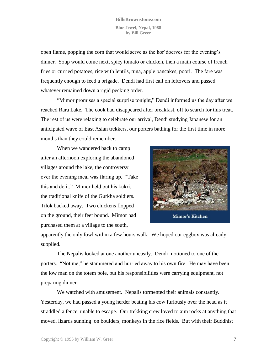open flame, popping the corn that would serve as the hor'doerves for the evening's dinner. Soup would come next, spicy tomato or chicken, then a main course of french fries or curried potatoes, rice with lentils, tuna, apple pancakes, poori. The fare was frequently enough to feed a brigade. Dendi had first call on leftovers and passed whatever remained down a rigid pecking order.

"Mimor promises a special surprise tonight," Dendi informed us the day after we reached Rara Lake. The cook had disappeared after breakfast, off to search for this treat. The rest of us were relaxing to celebrate our arrival, Dendi studying Japanese for an anticipated wave of East Asian trekkers, our porters bathing for the first time in more months than they could remember.

When we wandered back to camp after an afternoon exploring the abandoned villages around the lake, the controversy over the evening meal was flaring up. "Take this and do it." Mimor held out his kukri, the traditional knife of the Gurkha soldiers. Tilok backed away. Two chickens flopped on the ground, their feet bound. Mimor had purchased them at a village to the south,



apparently the only fowl within a few hours walk. We hoped our eggbox was already supplied.

The Nepalis looked at one another uneasily. Dendi motioned to one of the porters. "Not me," he stammered and hurried away to his own fire. He may have been the low man on the totem pole, but his responsibilities were carrying equipment, not preparing dinner.

We watched with amusement. Nepalis tormented their animals constantly. Yesterday, we had passed a young herder beating his cow furiously over the head as it straddled a fence, unable to escape. Our trekking crew loved to aim rocks at anything that moved, lizards sunning on boulders, monkeys in the rice fields. But with their Buddhist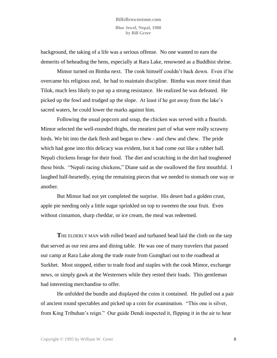background, the taking of a life was a serious offense. No one wanted to earn the demerits of beheading the hens, especially at Rara Lake, renowned as a Buddhist shrine.

Mimor turned on Bimba next. The cook himself couldn't back down. Even if he overcame his religious zeal, he had to maintain discipline. Bimba was more timid than Tilok, much less likely to put up a strong resistance. He realized he was defeated. He picked up the fowl and trudged up the slope. At least if he got away from the lake's sacred waters, he could lower the marks against him.

Following the usual popcorn and soup, the chicken was served with a flourish. Mimor selected the well-rounded thighs, the meatiest part of what were really scrawny birds. We bit into the dark flesh and began to chew - and chew and chew. The pride which had gone into this delicacy was evident, but it had come out like a rubber ball. Nepali chickens forage for their food. The diet and scratching in the dirt had toughened these birds. "Nepali racing chickens," Diane said as she swallowed the first mouthful. I laughed half-heartedly, eying the remaining pieces that we needed to stomach one way or another.

But Mimor had not yet completed the surprise. His desert had a golden crust, apple pie needing only a little sugar sprinkled on top to sweeten the sour fruit. Even without cinnamon, sharp cheddar, or ice cream, the meal was redeemed.

**T**HE ELDERLY MAN with rolled beard and turbaned head laid the cloth on the tarp that served as our rest area and dining table. He was one of many travelers that passed our camp at Rara Lake along the trade route from Gumghari out to the roadhead at Surkhet. Most stopped, either to trade food and staples with the cook Mimor, exchange news, or simply gawk at the Westerners while they rested their loads. This gentleman had interesting merchandise to offer.

He unfolded the bundle and displayed the coins it contained. He pulled out a pair of ancient round spectables and picked up a coin for examination. "This one is silver, from King Tribuhan's reign." Our guide Dendi inspected it, flipping it in the air to hear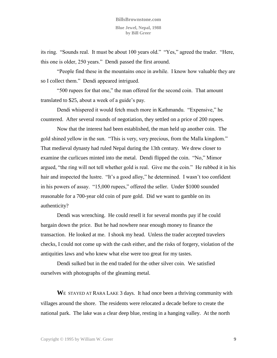its ring. "Sounds real. It must be about 100 years old." "Yes," agreed the trader. "Here, this one is older, 250 years." Dendi passed the first around.

"People find these in the mountains once in awhile. I know how valuable they are so I collect them." Dendi appeared intrigued.

"500 rupees for that one," the man offered for the second coin. That amount translated to \$25, about a week of a guide's pay.

Dendi whispered it would fetch much more in Kathmandu. "Expensive," he countered. After several rounds of negotiation, they settled on a price of 200 rupees.

Now that the interest had been established, the man held up another coin. The gold shined yellow in the sun. "This is very, very precious, from the Malla kingdom." That medieval dynasty had ruled Nepal during the 13th century. We drew closer to examine the curlicues minted into the metal. Dendi flipped the coin. "No," Mimor argued, "the ring will not tell whether gold is real. Give me the coin." He rubbed it in his hair and inspected the lustre. "It's a good alloy," he determined. I wasn't too confident in his powers of assay. "15,000 rupees," offered the seller. Under \$1000 sounded reasonable for a 700-year old coin of pure gold. Did we want to gamble on its authenticity?

Dendi was wrenching. He could resell it for several months pay if he could bargain down the price. But he had nowhere near enough money to finance the transaction. He looked at me. I shook my head. Unless the trader accepted travelers checks, I could not come up with the cash either, and the risks of forgery, violation of the antiquities laws and who knew what else were too great for my tastes.

Dendi sulked but in the end traded for the other silver coin. We satisfied ourselves with photographs of the gleaming metal.

WE STAYED AT RARA LAKE 3 days. It had once been a thriving community with villages around the shore. The residents were relocated a decade before to create the national park. The lake was a clear deep blue, resting in a hanging valley. At the north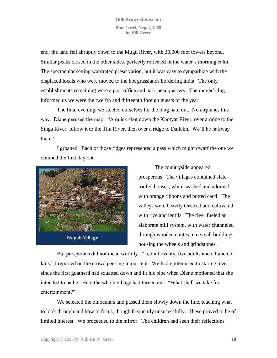end, the land fell abruptly down to the Mugu River, with 20,000 foot towers beyond. Similar peaks closed in the other sides, perfectly reflected in the water's morning calm. The spectacular setting warranted preservation, but it was easy to sympathize with the displaced locals who were moved to the hot grasslands bordering India. The only establishments remaining were a post office and park headquarters. The ranger's log informed us we were the twelfth and thirteenth foreign guests of the year.

The final evening, we steeled ourselves for the long haul out. No airplanes this way. Diane perused the map. "A quick shot down the Khotyar River, over a ridge to the Singa River, follow it to the Tila River, then over a ridge to Dailekh. We'll be halfway there."

I groaned. Each of those ridges represented a pass which might dwarf the one we climbed the first day out.



The countryside appeared prosperous. The villages contained slateroofed houses, white-washed and adorned with orange ribbons and potted cacti. The valleys were heavily terraced and cultivated with rice and lentils. The river fueled an elaborate mill system, with water channeled through wooden chutes into small buildings housing the wheels and grindstones.

But prosperous did not mean worldly. "I count twenty, five adults and a bunch of kids," I reported on the crowd peeking in our tent. We had gotten used to staring, ever since the first goatherd had squatted down and lit his pipe when Diane motioned that she intended to bathe. Here the whole village had turned out. "What shall we take for entertainment?"

We selected the binoculars and passed them slowly down the line, teaching what to look through and how to focus, though frequently unsucessfully. These proved to be of limited interest. We proceeded to the mirror. The children had seen their reflections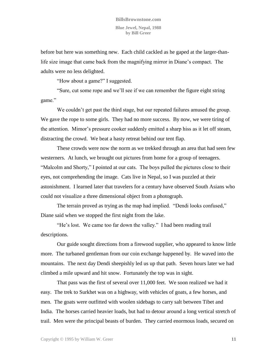before but here was something new. Each child cackled as he gaped at the larger-thanlife size image that came back from the magnifying mirror in Diane's compact. The adults were no less delighted.

"How about a game?" I suggested.

"Sure, cut some rope and we'll see if we can remember the figure eight string game."

We couldn't get past the third stage, but our repeated failures amused the group. We gave the rope to some girls. They had no more success. By now, we were tiring of the attention. Mimor's pressure cooker suddenly emitted a sharp hiss as it let off steam, distracting the crowd. We beat a hasty retreat behind our tent flap.

These crowds were now the norm as we trekked through an area that had seen few westerners. At lunch, we brought out pictures from home for a group of teenagers. "Malcolm and Shorty," I pointed at our cats. The boys pulled the pictures close to their eyes, not comprehending the image. Cats live in Nepal, so I was puzzled at their astonishment. I learned later that travelers for a century have observed South Asians who could not visualize a three dimensional object from a photograph.

The terrain proved as trying as the map had implied. "Dendi looks confused," Diane said when we stopped the first night from the lake.

"He's lost. We came too far down the valley." I had been reading trail descriptions.

Our guide sought directions from a firewood supplier, who appeared to know little more. The turbaned gentleman from our coin exchange happened by. He waved into the mountains. The next day Dendi sheepishly led us up that path. Seven hours later we had climbed a mile upward and hit snow. Fortunately the top was in sight.

That pass was the first of several over 11,000 feet. We soon realized we had it easy. The trek to Surkhet was on a highway, with vehicles of goats, a few horses, and men. The goats were outfitted with woolen sidebags to carry salt between Tibet and India. The horses carried heavier loads, but had to detour around a long vertical stretch of trail. Men were the principal beasts of burden. They carried enormous loads, secured on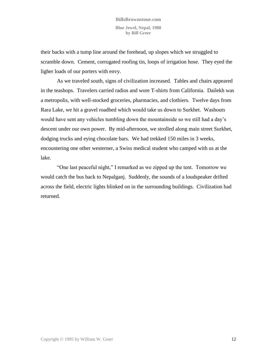their backs with a tump line around the forehead, up slopes which we struggled to scramble down. Cement, corrugated roofing tin, loops of irrigation hose. They eyed the ligher loads of our porters with envy.

As we traveled south, signs of civilization increased. Tables and chairs appeared in the teashops. Travelers carried radios and wore T-shirts from California. Dailekh was a metropolis, with well-stocked groceries, pharmacies, and clothiers. Twelve days from Rara Lake, we hit a gravel roadbed which would take us down to Surkhet. Washouts would have sent any vehicles tumbling down the mountainside so we still had a day's descent under our own power. By mid-afternoon, we strolled along main street Surkhet, dodging trucks and eying chocolate bars. We had trekked 150 miles in 3 weeks, encountering one other westerner, a Swiss medical student who camped with us at the lake.

"One last peaceful night," I remarked as we zipped up the tent. Tomorrow we would catch the bus back to Nepalganj. Suddenly, the sounds of a loudspeaker drifted across the field, electric lights blinked on in the surrounding buildings. Civilization had returned.